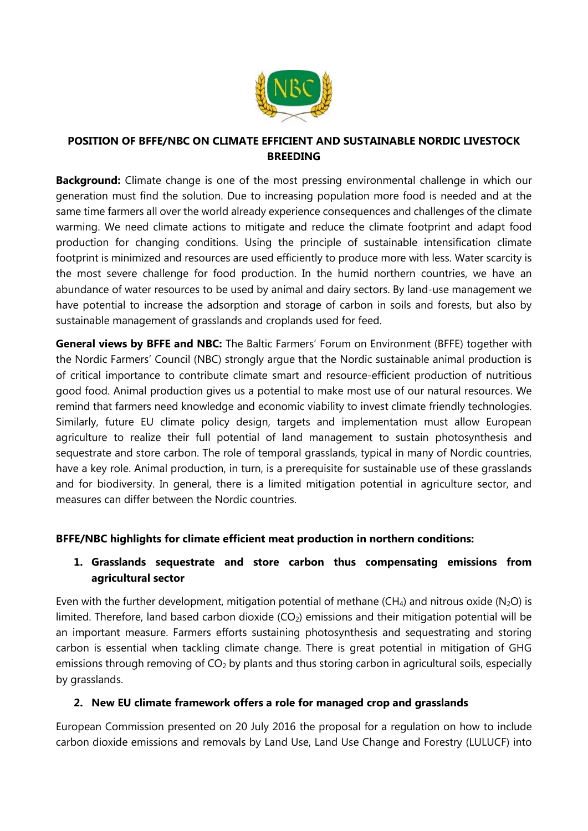

#### **POSITION OF BFFE/NBC ON CLIMATE EFFICIENT AND SUSTAINABLE NORDIC LIVESTOCK BREEDING**

**Background:** Climate change is one of the most pressing environmental challenge in which our generation must find the solution. Due to increasing population more food is needed and at the same time farmers all over the world already experience consequences and challenges of the climate warming. We need climate actions to mitigate and reduce the climate footprint and adapt food production for changing conditions. Using the principle of sustainable intensification climate footprint is minimized and resources are used efficiently to produce more with less. Water scarcity is the most severe challenge for food production. In the humid northern countries, we have an abundance of water resources to be used by animal and dairy sectors. By land-use management we have potential to increase the adsorption and storage of carbon in soils and forests, but also by sustainable management of grasslands and croplands used for feed.

**General views by BFFE and NBC:** The Baltic Farmers' Forum on Environment (BFFE) together with the Nordic Farmers' Council (NBC) strongly argue that the Nordic sustainable animal production is of critical importance to contribute climate smart and resource-efficient production of nutritious good food. Animal production gives us a potential to make most use of our natural resources. We remind that farmers need knowledge and economic viability to invest climate friendly technologies. Similarly, future EU climate policy design, targets and implementation must allow European agriculture to realize their full potential of land management to sustain photosynthesis and sequestrate and store carbon. The role of temporal grasslands, typical in many of Nordic countries, have a key role. Animal production, in turn, is a prerequisite for sustainable use of these grasslands and for biodiversity. In general, there is a limited mitigation potential in agriculture sector, and measures can differ between the Nordic countries.

#### **BFFE/NBC highlights for climate efficient meat production in northern conditions:**

## **1. Grasslands sequestrate and store carbon thus compensating emissions from agricultural sector**

Even with the further development, mitigation potential of methane (CH<sub>4</sub>) and nitrous oxide (N<sub>2</sub>O) is limited. Therefore, land based carbon dioxide  $(CO<sub>2</sub>)$  emissions and their mitigation potential will be an important measure. Farmers efforts sustaining photosynthesis and sequestrating and storing carbon is essential when tackling climate change. There is great potential in mitigation of GHG emissions through removing of  $CO<sub>2</sub>$  by plants and thus storing carbon in agricultural soils, especially by grasslands.

#### **2. New EU climate framework offers a role for managed crop and grasslands**

European Commission presented on 20 July 2016 the proposal for a regulation on how to include carbon dioxide emissions and removals by Land Use, Land Use Change and Forestry (LULUCF) into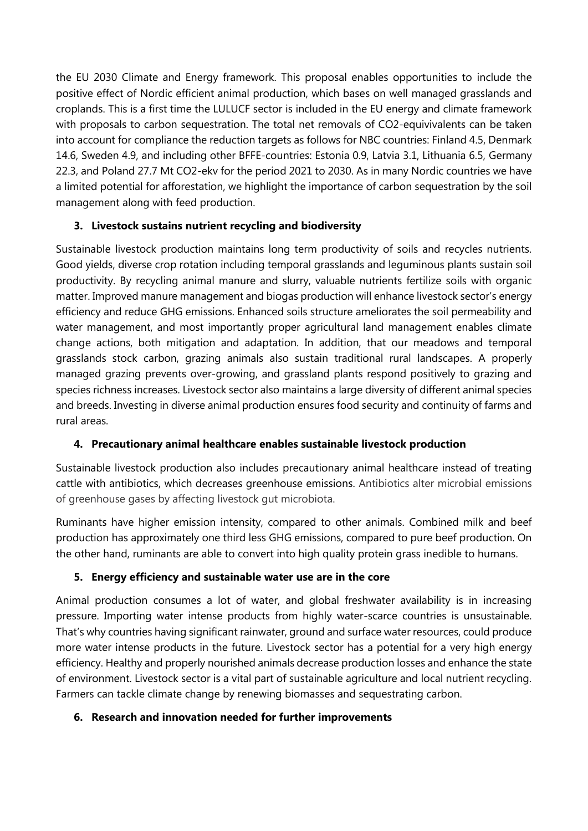the EU 2030 Climate and Energy framework. This proposal enables opportunities to include the positive effect of Nordic efficient animal production, which bases on well managed grasslands and croplands. This is a first time the LULUCF sector is included in the EU energy and climate framework with proposals to carbon sequestration. The total net removals of CO2-equivivalents can be taken into account for compliance the reduction targets as follows for NBC countries: Finland 4.5, Denmark 14.6, Sweden 4.9, and including other BFFE-countries: Estonia 0.9, Latvia 3.1, Lithuania 6.5, Germany 22.3, and Poland 27.7 Mt CO2-ekv for the period 2021 to 2030. As in many Nordic countries we have a limited potential for afforestation, we highlight the importance of carbon sequestration by the soil management along with feed production.

## **3. Livestock sustains nutrient recycling and biodiversity**

Sustainable livestock production maintains long term productivity of soils and recycles nutrients. Good yields, diverse crop rotation including temporal grasslands and leguminous plants sustain soil productivity. By recycling animal manure and slurry, valuable nutrients fertilize soils with organic matter. Improved manure management and biogas production will enhance livestock sector's energy efficiency and reduce GHG emissions. Enhanced soils structure ameliorates the soil permeability and water management, and most importantly proper agricultural land management enables climate change actions, both mitigation and adaptation. In addition, that our meadows and temporal grasslands stock carbon, grazing animals also sustain traditional rural landscapes. A properly managed grazing prevents over-growing, and grassland plants respond positively to grazing and species richness increases. Livestock sector also maintains a large diversity of different animal species and breeds. Investing in diverse animal production ensures food security and continuity of farms and rural areas.

# **4. Precautionary animal healthcare enables sustainable livestock production**

Sustainable livestock production also includes precautionary animal healthcare instead of treating cattle with antibiotics, which decreases greenhouse emissions. Antibiotics alter microbial emissions of greenhouse gases by affecting livestock gut microbiota.

Ruminants have higher emission intensity, compared to other animals. Combined milk and beef production has approximately one third less GHG emissions, compared to pure beef production. On the other hand, ruminants are able to convert into high quality protein grass inedible to humans.

## **5. Energy efficiency and sustainable water use are in the core**

Animal production consumes a lot of water, and global freshwater availability is in increasing pressure. Importing water intense products from highly water-scarce countries is unsustainable. That's why countries having significant rainwater, ground and surface water resources, could produce more water intense products in the future. Livestock sector has a potential for a very high energy efficiency. Healthy and properly nourished animals decrease production losses and enhance the state of environment. Livestock sector is a vital part of sustainable agriculture and local nutrient recycling. Farmers can tackle climate change by renewing biomasses and sequestrating carbon.

# **6. Research and innovation needed for further improvements**